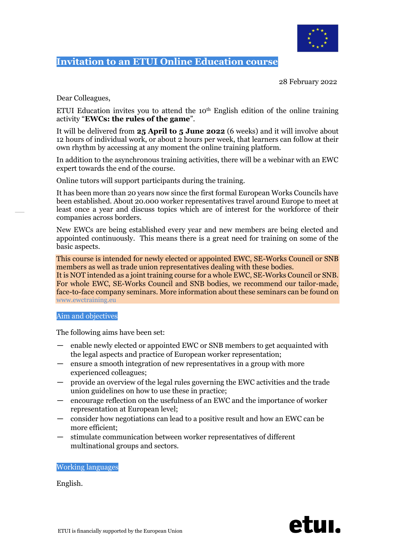

## **Invitation to an ETUI Online Education course**

28 February 2022

Dear Colleagues,

ETUI Education invites you to attend the  $10<sup>th</sup>$  English edition of the online training activity "**EWCs: the rules of the game**".

It will be delivered from **25 April to 5 June 2022** (6 weeks) and it will involve about 12 hours of individual work, or about 2 hours per week, that learners can follow at their own rhythm by accessing at any moment the online training platform.

In addition to the asynchronous training activities, there will be a webinar with an EWC expert towards the end of the course.

Online tutors will support participants during the training.

It has been more than 20 years now since the first formal European Works Councils have been established. About 20.000 worker representatives travel around Europe to meet at least once a year and discuss topics which are of interest for the workforce of their companies across borders.

New EWCs are being established every year and new members are being elected and appointed continuously. This means there is a great need for training on some of the basic aspects.

This course is intended for newly elected or appointed EWC, SE-Works Council or SNB members as well as trade union representatives dealing with these bodies.

It is NOT intended as a joint training course for a whole EWC, SE-Works Council or SNB. For whole EWC, SE-Works Council and SNB bodies, we recommend our tailor-made, face-to-face company seminars. More information about these seminars can be found on [www.ewctraining.eu](http://www.ewctraining.eu/)

## Aim and objectives

The following aims have been set:

- ― enable newly elected or appointed EWC or SNB members to get acquainted with the legal aspects and practice of European worker representation;
- ― ensure a smooth integration of new representatives in a group with more experienced colleagues;
- ― provide an overview of the legal rules governing the EWC activities and the trade union guidelines on how to use these in practice;
- ― encourage reflection on the usefulness of an EWC and the importance of worker representation at European level;
- ― consider how negotiations can lead to a positive result and how an EWC can be more efficient;
- ― stimulate communication between worker representatives of different multinational groups and sectors.

Working languages

English.